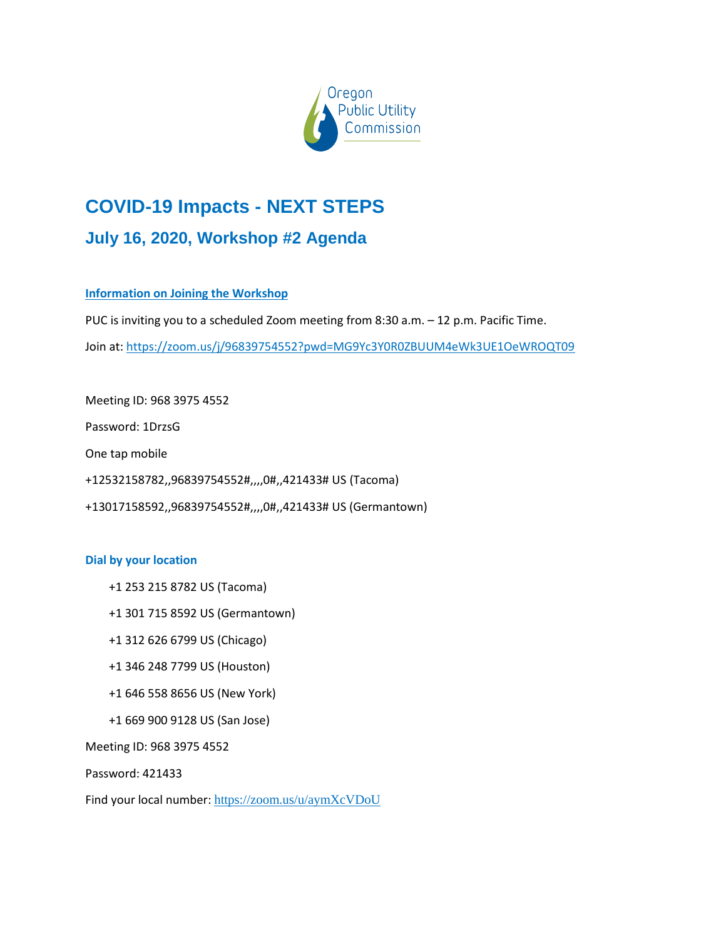

# **COVID-19 Impacts - NEXT STEPS July 16, 2020, Workshop #2 Agenda**

# **Information on Joining the Workshop**

PUC is inviting you to a scheduled Zoom meeting from 8:30 a.m. – 12 p.m. Pacific Time.

Join at: <https://zoom.us/j/96839754552?pwd=MG9Yc3Y0R0ZBUUM4eWk3UE1OeWROQT09>

Meeting ID: 968 3975 4552 Password: 1DrzsG One tap mobile +12532158782,,96839754552#,,,,0#,,421433# US (Tacoma) +13017158592,,96839754552#,,,,0#,,421433# US (Germantown)

## **Dial by your location**

- +1 253 215 8782 US (Tacoma)
- +1 301 715 8592 US (Germantown)
- +1 312 626 6799 US (Chicago)
- +1 346 248 7799 US (Houston)
- +1 646 558 8656 US (New York)
- +1 669 900 9128 US (San Jose)

Meeting ID: 968 3975 4552

Password: 421433

Find your local number: <https://zoom.us/u/aymXcVDoU>